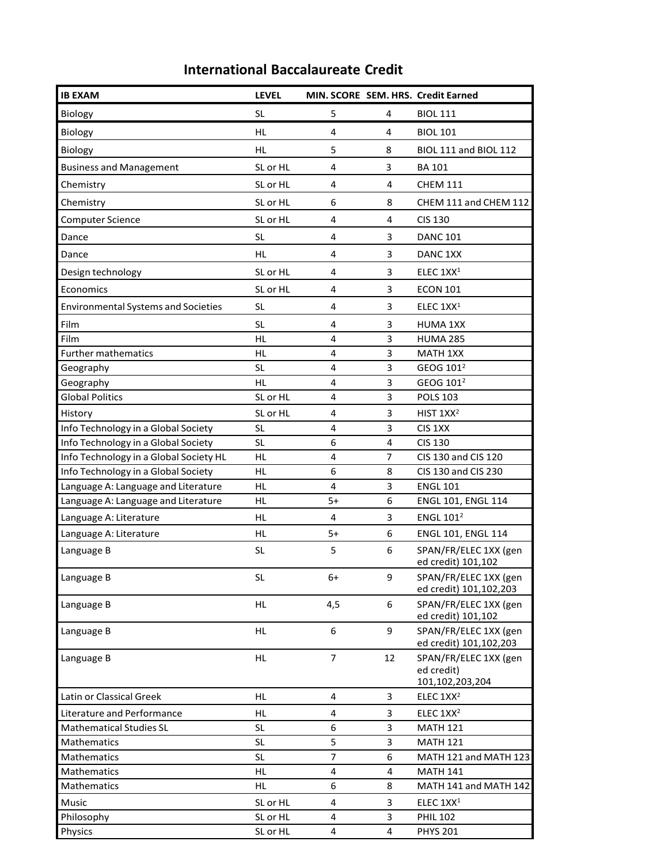## **International Baccalaureate Credit**

| <b>IB EXAM</b>                             | <b>LEVEL</b> |                |    | MIN. SCORE SEM. HRS. Credit Earned                     |
|--------------------------------------------|--------------|----------------|----|--------------------------------------------------------|
| Biology                                    | <b>SL</b>    | 5              | 4  | <b>BIOL 111</b>                                        |
| Biology                                    | HL           | 4              | 4  | <b>BIOL 101</b>                                        |
| Biology                                    | <b>HL</b>    | 5              | 8  | BIOL 111 and BIOL 112                                  |
| <b>Business and Management</b>             | SL or HL     | 4              | 3  | <b>BA 101</b>                                          |
| Chemistry                                  | SL or HL     | 4              | 4  | <b>CHEM 111</b>                                        |
| Chemistry                                  | SL or HL     | 6              | 8  | CHEM 111 and CHEM 112                                  |
| <b>Computer Science</b>                    | SL or HL     | 4              | 4  | <b>CIS 130</b>                                         |
|                                            |              |                |    |                                                        |
| Dance                                      | <b>SL</b>    | 4              | 3  | <b>DANC 101</b>                                        |
| Dance                                      | <b>HL</b>    | 4              | 3  | DANC <sub>1XX</sub>                                    |
| Design technology                          | SL or HL     | 4              | 3  | ELEC $1XX1$                                            |
| Economics                                  | SL or HL     | 4              | 3  | <b>ECON 101</b>                                        |
| <b>Environmental Systems and Societies</b> | <b>SL</b>    | 4              | 3  | ELEC 1XX <sup>1</sup>                                  |
| Film                                       | <b>SL</b>    | 4              | 3  | <b>HUMA 1XX</b>                                        |
| Film                                       | <b>HL</b>    | 4              | 3  | <b>HUMA 285</b>                                        |
| <b>Further mathematics</b>                 | <b>HL</b>    | 4              | 3  | MATH 1XX                                               |
| Geography                                  | <b>SL</b>    | 4              | 3  | GEOG 101 <sup>2</sup>                                  |
| Geography                                  | HL           | 4              | 3  | GEOG 101 <sup>2</sup>                                  |
| <b>Global Politics</b>                     | SL or HL     | 4              | 3  | <b>POLS 103</b>                                        |
| History                                    | SL or HL     | 4              | 3  | HIST $1XX^2$                                           |
| Info Technology in a Global Society        | <b>SL</b>    | 4              | 3  | CIS 1XX                                                |
| Info Technology in a Global Society        | <b>SL</b>    | 6              | 4  | <b>CIS 130</b>                                         |
| Info Technology in a Global Society HL     | <b>HL</b>    | 4              | 7  | CIS 130 and CIS 120                                    |
| Info Technology in a Global Society        | HL           | 6              | 8  | CIS 130 and CIS 230                                    |
| Language A: Language and Literature        | HL           | 4              | 3  | <b>ENGL 101</b>                                        |
| Language A: Language and Literature        | HL           | 5+             | 6  | ENGL 101, ENGL 114                                     |
| Language A: Literature                     | HL           | 4              | 3  | <b>ENGL 1012</b>                                       |
| Language A: Literature                     | HL           | $5+$           | 6  | <b>ENGL 101, ENGL 114</b>                              |
| Language B                                 | <b>SL</b>    | 5              | 6  | SPAN/FR/ELEC 1XX (gen<br>ed credit) 101,102            |
| Language B                                 | <b>SL</b>    | $6+$           | 9  | SPAN/FR/ELEC 1XX (gen<br>ed credit) 101,102,203        |
| Language B                                 | HL           | 4,5            | 6  | SPAN/FR/ELEC 1XX (gen<br>ed credit) 101,102            |
| Language B                                 | HL           | 6              | 9  | SPAN/FR/ELEC 1XX (gen<br>ed credit) 101,102,203        |
| Language B                                 | HL           | $\overline{7}$ | 12 | SPAN/FR/ELEC 1XX (gen<br>ed credit)<br>101,102,203,204 |
| Latin or Classical Greek                   | HL           | 4              | 3  | ELEC 1XX <sup>2</sup>                                  |
| Literature and Performance                 | HL           | 4              | 3  | ELEC 1XX <sup>2</sup>                                  |
| <b>Mathematical Studies SL</b>             | <b>SL</b>    | 6              | 3  | <b>MATH 121</b>                                        |
| Mathematics                                | <b>SL</b>    | 5              | 3  | <b>MATH 121</b>                                        |
| Mathematics                                | <b>SL</b>    | 7              | 6  | MATH 121 and MATH 123                                  |
| Mathematics                                | HL           | 4              | 4  | <b>MATH 141</b>                                        |
| Mathematics                                | HL           | 6              | 8  | MATH 141 and MATH 142                                  |
| Music                                      | SL or HL     | 4              | 3  | ELEC 1XX <sup>1</sup>                                  |
| Philosophy                                 | SL or HL     | 4              | 3  | <b>PHIL 102</b>                                        |
| Physics                                    | SL or HL     | 4              | 4  | <b>PHYS 201</b>                                        |